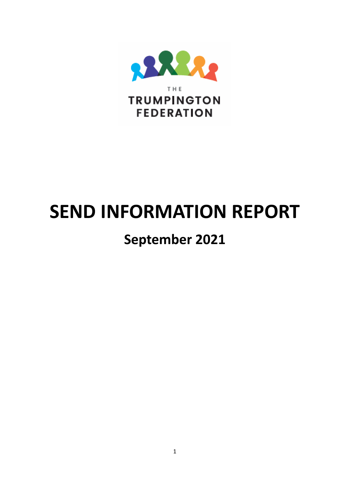

# **SEND INFORMATION REPORT**

## **September 2021**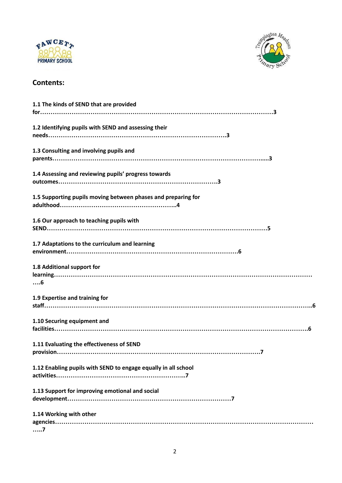



### **Contents:**

| 1.1 The kinds of SEND that are provided                        |
|----------------------------------------------------------------|
|                                                                |
| 1.2 Identifying pupils with SEND and assessing their           |
| 1.3 Consulting and involving pupils and                        |
| 1.4 Assessing and reviewing pupils' progress towards           |
| 1.5 Supporting pupils moving between phases and preparing for  |
| 1.6 Our approach to teaching pupils with                       |
| 1.7 Adaptations to the curriculum and learning                 |
| 1.8 Additional support for<br>$\dots6$                         |
| 1.9 Expertise and training for                                 |
| 1.10 Securing equipment and                                    |
| 1.11 Evaluating the effectiveness of SEND                      |
| 1.12 Enabling pupils with SEND to engage equally in all school |
| 1.13 Support for improving emotional and social                |
| 1.14 Working with other<br>. 7                                 |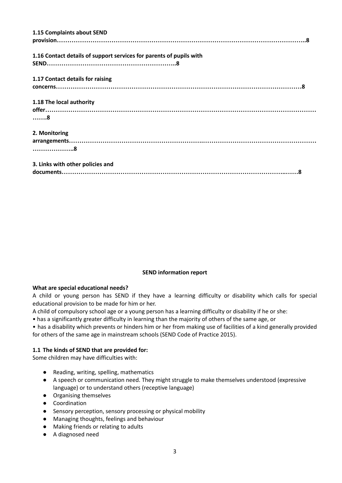| 1.15 Complaints about SEND                                                                                                                                                                                                                                                                                                                                                                  |
|---------------------------------------------------------------------------------------------------------------------------------------------------------------------------------------------------------------------------------------------------------------------------------------------------------------------------------------------------------------------------------------------|
|                                                                                                                                                                                                                                                                                                                                                                                             |
| 1.16 Contact details of support services for parents of pupils with                                                                                                                                                                                                                                                                                                                         |
|                                                                                                                                                                                                                                                                                                                                                                                             |
| 1.17 Contact details for raising                                                                                                                                                                                                                                                                                                                                                            |
|                                                                                                                                                                                                                                                                                                                                                                                             |
| 1.18 The local authority                                                                                                                                                                                                                                                                                                                                                                    |
|                                                                                                                                                                                                                                                                                                                                                                                             |
| . 8                                                                                                                                                                                                                                                                                                                                                                                         |
| 2. Monitoring                                                                                                                                                                                                                                                                                                                                                                               |
|                                                                                                                                                                                                                                                                                                                                                                                             |
|                                                                                                                                                                                                                                                                                                                                                                                             |
| 3. Links with other policies and                                                                                                                                                                                                                                                                                                                                                            |
| $\textit{document} \textit{s} \textit{} \textit{} \textit{} \textit{} \textit{} \textit{} \textit{} \textit{} \textit{} \textit{} \textit{} \textit{} \textit{} \textit{} \textit{} \textit{} \textit{} \textit{} \textit{} \textit{} \textit{} \textit{} \textit{} \textit{} \textit{} \textit{} \textit{} \textit{} \textit{} \textit{} \textit{} \textit{} \textit{} \textit{} \textit{$ |

#### **SEND information report**

#### **What are special educational needs?**

A child or young person has SEND if they have a learning difficulty or disability which calls for special educational provision to be made for him or her.

A child of compulsory school age or a young person has a learning difficulty or disability if he or she:

• has a significantly greater difficulty in learning than the majority of others of the same age, or

• has a disability which prevents or hinders him or her from making use of facilities of a kind generally provided for others of the same age in mainstream schools (SEND Code of Practice 2015).

#### **1.1 The kinds of SEND that are provided for:**

Some children may have difficulties with:

- Reading, writing, spelling, mathematics
- A speech or communication need. They might struggle to make themselves understood (expressive language) or to understand others (receptive language)
- Organising themselves
- Coordination
- Sensory perception, sensory processing or physical mobility
- Managing thoughts, feelings and behaviour
- Making friends or relating to adults
- A diagnosed need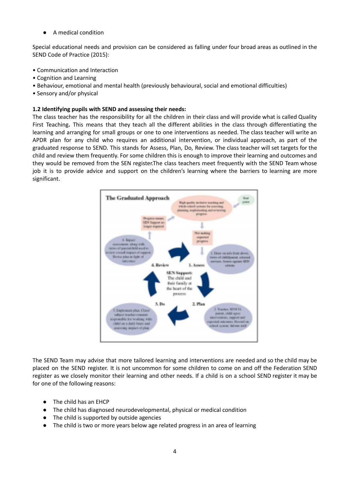A medical condition

Special educational needs and provision can be considered as falling under four broad areas as outlined in the SEND Code of Practice (2015):

- Communication and Interaction
- Cognition and Learning
- Behaviour, emotional and mental health (previously behavioural, social and emotional difficulties)
- Sensory and/or physical

#### **1.2 Identifying pupils with SEND and assessing their needs:**

The class teacher has the responsibility for all the children in their class and will provide what is called Quality First Teaching**.** This means that they teach all the different abilities in the class through differentiating the learning and arranging for small groups or one to one interventions as needed. The class teacher will write an APDR plan for any child who requires an additional intervention, or individual approach, as part of the graduated response to SEND. This stands for Assess, Plan, Do, Review. The class teacher will set targets for the child and review them frequently. For some children this is enough to improve their learning and outcomes and they would be removed from the SEN register.The class teachers meet frequently with the SEND Team whose job it is to provide advice and support on the children's learning where the barriers to learning are more significant.



The SEND Team may advise that more tailored learning and interventions are needed and so the child may be placed on the SEND register. It is not uncommon for some children to come on and off the Federation SEND register as we closely monitor their learning and other needs. If a child is on a school SEND register it may be for one of the following reasons:

- The child has an EHCP
- The child has diagnosed neurodevelopmental, physical or medical condition
- The child is supported by outside agencies
- The child is two or more years below age related progress in an area of learning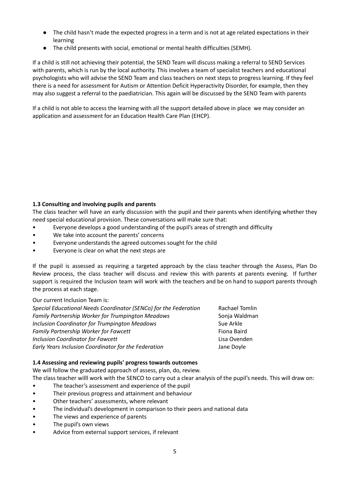- The child hasn't made the expected progress in a term and is not at age related expectations in their learning
- The child presents with social, emotional or mental health difficulties (SEMH).

If a child is still not achieving their potential, the SEND Team will discuss making a referral to SEND Services with parents, which is run by the local authority. This involves a team of specialist teachers and educational psychologists who will advise the SEND Team and class teachers on next steps to progress learning. If they feel there is a need for assessment for Autism or Attention Deficit Hyperactivity Disorder, for example, then they may also suggest a referral to the paediatrician. This again will be discussed by the SEND Team with parents

If a child is not able to access the learning with all the support detailed above in place we may consider an application and assessment for an Education Health Care Plan (EHCP).

#### **1.3 Consulting and involving pupils and parents**

The class teacher will have an early discussion with the pupil and their parents when identifying whether they need special educational provision. These conversations will make sure that:

- Everyone develops a good understanding of the pupil's areas of strength and difficulty
- We take into account the parents' concerns
- Everyone understands the agreed outcomes sought for the child
- Everyone is clear on what the next steps are

If the pupil is assessed as requiring a targeted approach by the class teacher through the Assess, Plan Do Review process, the class teacher will discuss and review this with parents at parents evening. If further support is required the Inclusion team will work with the teachers and be on hand to support parents through the process at each stage.

Our current Inclusion Team is:

| Special Educational Needs Coordinator (SENCo) for the Federation | Rachael Tomlin |
|------------------------------------------------------------------|----------------|
| Family Partnership Worker for Trumpington Meadows                | Sonja Waldman  |
| Inclusion Coordinator for Trumpington Meadows                    | Sue Arkle      |
| Family Partnership Worker for Fawcett                            | Fiona Baird    |
| <b>Inclusion Coordinator for Fawcett</b>                         | Lisa Ovenden   |
| Early Years Inclusion Coordinator for the Federation             | Jane Doyle     |

#### **1.4 Assessing and reviewing pupils' progress towards outcomes**

We will follow the graduated approach of assess, plan, do, review. The class teacher willl work with the SENCO to carry out a clear analysis of the pupil's needs. This will draw on:

- The teacher's assessment and experience of the pupil
- Their previous progress and attainment and behaviour
- Other teachers' assessments, where relevant
- The individual's development in comparison to their peers and national data
- The views and experience of parents
- The pupil's own views
- Advice from external support services, if relevant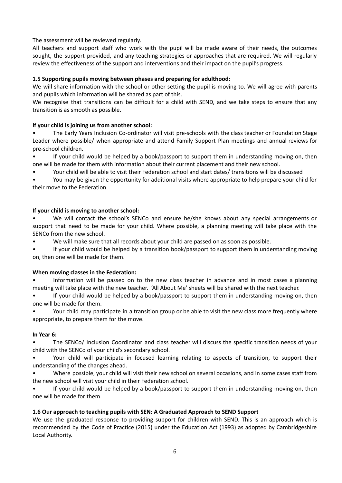#### The assessment will be reviewed regularly.

All teachers and support staff who work with the pupil will be made aware of their needs, the outcomes sought, the support provided, and any teaching strategies or approaches that are required. We will regularly review the effectiveness of the support and interventions and their impact on the pupil's progress.

#### **1.5 Supporting pupils moving between phases and preparing for adulthood:**

We will share information with the school or other setting the pupil is moving to. We will agree with parents and pupils which information will be shared as part of this.

We recognise that transitions can be difficult for a child with SEND, and we take steps to ensure that any transition is as smooth as possible.

#### **If your child is joining us from another school:**

• The Early Years Inclusion Co-ordinator will visit pre-schools with the class teacher or Foundation Stage Leader where possible/ when appropriate and attend Family Support Plan meetings and annual reviews for pre-school children.

If your child would be helped by a book/passport to support them in understanding moving on, then one will be made for them with information about their current placement and their new school.

• Your child will be able to visit their Federation school and start dates/ transitions will be discussed

• You may be given the opportunity for additional visits where appropriate to help prepare your child for their move to the Federation.

#### **If your child is moving to another school:**

We will contact the school's SENCo and ensure he/she knows about any special arrangements or support that need to be made for your child. Where possible, a planning meeting will take place with the SENCo from the new school.

We will make sure that all records about your child are passed on as soon as possible.

• If your child would be helped by a transition book/passport to support them in understanding moving on, then one will be made for them.

#### **When moving classes in the Federation:**

• Information will be passed on to the new class teacher in advance and in most cases a planning meeting will take place with the new teacher. 'All About Me' sheets will be shared with the next teacher.

• If your child would be helped by a book/passport to support them in understanding moving on, then one will be made for them.

• Your child may participate in a transition group or be able to visit the new class more frequently where appropriate, to prepare them for the move.

#### **In Year 6:**

• The SENCo/ Inclusion Coordinator and class teacher will discuss the specific transition needs of your child with the SENCo of your child's secondary school.

• Your child will participate in focused learning relating to aspects of transition, to support their understanding of the changes ahead.

• Where possible, your child will visit their new school on several occasions, and in some cases staff from the new school will visit your child in their Federation school.

• If your child would be helped by a book/passport to support them in understanding moving on, then one will be made for them.

#### **1.6 Our approach to teaching pupils with SEN: A Graduated Approach to SEND Support**

We use the graduated response to providing support for children with SEND. This is an approach which is recommended by the Code of Practice (2015) under the Education Act (1993) as adopted by Cambridgeshire Local Authority.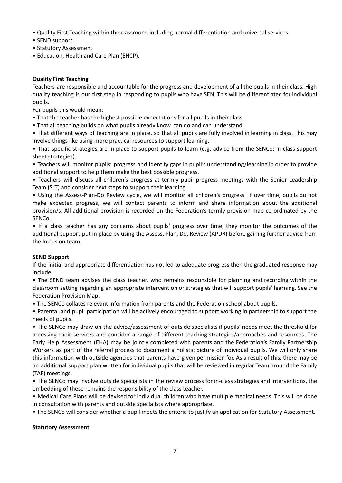- Quality First Teaching within the classroom, including normal differentiation and universal services.
- SEND support
- Statutory Assessment
- Education, Health and Care Plan (EHCP).

#### **Quality First Teaching**

Teachers are responsible and accountable for the progress and development of all the pupils in their class. High quality teaching is our first step in responding to pupils who have SEN. This will be differentiated for individual pupils.

For pupils this would mean:

- That the teacher has the highest possible expectations for all pupils in their class.
- That all teaching builds on what pupils already know, can do and can understand.

• That different ways of teaching are in place, so that all pupils are fully involved in learning in class. This may involve things like using more practical resources to support learning.

• That specific strategies are in place to support pupils to learn (e.g. advice from the SENCo; in-class support sheet strategies).

• Teachers will monitor pupils' progress and identify gaps in pupil's understanding/learning in order to provide additional support to help them make the best possible progress.

• Teachers will discuss all children's progress at termly pupil progress meetings with the Senior Leadership Team (SLT) and consider next steps to support their learning.

• Using the Assess-Plan-Do Review cycle, we will monitor all children's progress. If over time, pupils do not make expected progress, we will contact parents to inform and share information about the additional provision/s. All additional provision is recorded on the Federation's termly provision map co-ordinated by the SENCo.

• If a class teacher has any concerns about pupils' progress over time, they monitor the outcomes of the additional support put in place by using the Assess, Plan, Do, Review (APDR) before gaining further advice from the Inclusion team.

#### **SEND Support**

If the initial and appropriate differentiation has not led to adequate progress then the graduated response may include:

• The SEND team advises the class teacher, who remains responsible for planning and recording within the classroom setting regarding an appropriate intervention or strategies that will support pupils' learning. See the Federation Provision Map.

• The SENCo collates relevant information from parents and the Federation school about pupils.

• Parental and pupil participation will be actively encouraged to support working in partnership to support the needs of pupils.

• The SENCo may draw on the advice/assessment of outside specialists if pupils' needs meet the threshold for accessing their services and consider a range of different teaching strategies/approaches and resources. The Early Help Assessment (EHA) may be jointly completed with parents and the Federation's Family Partnership Workers as part of the referral process to document a holistic picture of individual pupils. We will only share this information with outside agencies that parents have given permission for. As a result of this, there may be an additional support plan written for individual pupils that will be reviewed in regular Team around the Family (TAF) meetings.

• The SENCo may involve outside specialists in the review process for in-class strategies and interventions, the embedding of these remains the responsibility of the class teacher.

• Medical Care Plans will be devised for individual children who have multiple medical needs. This will be done in consultation with parents and outside specialists where appropriate.

• The SENCo will consider whether a pupil meets the criteria to justify an application for Statutory Assessment.

#### **Statutory Assessment**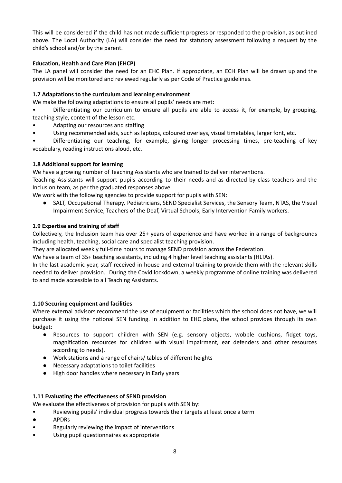This will be considered if the child has not made sufficient progress or responded to the provision, as outlined above. The Local Authority (LA) will consider the need for statutory assessment following a request by the child's school and/or by the parent.

#### **Education, Health and Care Plan (EHCP)**

The LA panel will consider the need for an EHC Plan. If appropriate, an ECH Plan will be drawn up and the provision will be monitored and reviewed regularly as per Code of Practice guidelines.

#### **1.7 Adaptations to the curriculum and learning environment**

We make the following adaptations to ensure all pupils' needs are met:

• Differentiating our curriculum to ensure all pupils are able to access it, for example, by grouping, teaching style, content of the lesson etc.

- Adapting our resources and staffing
- Using recommended aids, such as laptops, coloured overlays, visual timetables, larger font, etc.

• Differentiating our teaching, for example, giving longer processing times, pre-teaching of key vocabulary, reading instructions aloud, etc.

#### **1.8 Additional support for learning**

We have a growing number of Teaching Assistants who are trained to deliver interventions.

Teaching Assistants will support pupils according to their needs and as directed by class teachers and the Inclusion team, as per the graduated responses above.

We work with the following agencies to provide support for pupils with SEN:

● SALT, Occupational Therapy, Pediatricians, SEND Specialist Services, the Sensory Team, NTAS, the Visual Impairment Service, Teachers of the Deaf, Virtual Schools, Early Intervention Family workers.

#### **1.9 Expertise and training of staff**

Collectively, the Inclusion team has over 25+ years of experience and have worked in a range of backgrounds including health, teaching, social care and specialist teaching provision.

They are allocated weekly full-time hours to manage SEND provision across the Federation.

We have a team of 35+ teaching assistants, including 4 higher level teaching assistants (HLTAs).

In the last academic year, staff received in-house and external training to provide them with the relevant skills needed to deliver provision. During the Covid lockdown, a weekly programme of online training was delivered to and made accessible to all Teaching Assistants.

#### **1.10 Securing equipment and facilities**

Where external advisors recommend the use of equipment or facilities which the school does not have, we will purchase it using the notional SEN funding. In addition to EHC plans, the school provides through its own budget:

- Resources to support children with SEN (e.g. sensory objects, wobble cushions, fidget toys, magnification resources for children with visual impairment, ear defenders and other resources according to needs).
- Work stations and a range of chairs/ tables of different heights
- Necessary adaptations to toilet facilities
- High door handles where necessary in Early years

#### **1.11 Evaluating the effectiveness of SEND provision**

We evaluate the effectiveness of provision for pupils with SEN by:

- Reviewing pupils' individual progress towards their targets at least once a term
- APDRs
- Regularly reviewing the impact of interventions
- Using pupil questionnaires as appropriate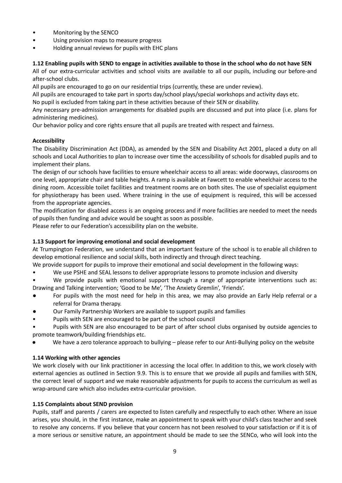- Monitoring by the SENCO
- Using provision maps to measure progress
- Holding annual reviews for pupils with EHC plans

#### 1.12 Enabling pupils with SEND to engage in activities available to those in the school who do not have SEN

All of our extra-curricular activities and school visits are available to all our pupils, including our before-and after-school clubs.

All pupils are encouraged to go on our residential trips (currently, these are under review).

All pupils are encouraged to take part in sports day/school plays/special workshops and activity days etc.

No pupil is excluded from taking part in these activities because of their SEN or disability.

Any necessary pre-admission arrangements for disabled pupils are discussed and put into place (i.e. plans for administering medicines).

Our behavior policy and core rights ensure that all pupils are treated with respect and fairness.

#### **Accessibility**

The Disability Discrimination Act (DDA), as amended by the SEN and Disability Act 2001, placed a duty on all schools and Local Authorities to plan to increase over time the accessibility of schools for disabled pupils and to implement their plans.

The design of our schools have facilities to ensure wheelchair access to all areas: wide doorways, classrooms on one level, appropriate chair and table heights. A ramp is available at Fawcett to enable wheelchair access to the dining room. Accessible toilet facilities and treatment rooms are on both sites. The use of specialist equipment for physiotherapy has been used. Where training in the use of equipment is required, this will be accessed from the appropriate agencies.

The modification for disabled access is an ongoing process and if more facilities are needed to meet the needs of pupils then funding and advice would be sought as soon as possible.

Please refer to our Federation's accessibility plan on the website.

#### **1.13 Support for improving emotional and social development**

At Trumpington Federation, we understand that an important feature of the school is to enable all children to develop emotional resilience and social skills, both indirectly and through direct teaching.

We provide support for pupils to improve their emotional and social development in the following ways:

- We use PSHE and SEAL lessons to deliver appropriate lessons to promote inclusion and diversity
- We provide pupils with emotional support through a range of appropriate interventions such as: Drawing and Talking intervention; 'Good to be Me', 'The Anxiety Gremlin', 'Friends'.
- For pupils with the most need for help in this area, we may also provide an Early Help referral or a referral for Drama therapy.
- Our Family Partnership Workers are available to support pupils and families
- Pupils with SEN are encouraged to be part of the school council
- Pupils with SEN are also encouraged to be part of after school clubs organised by outside agencies to promote teamwork/building friendships etc.
- We have a zero tolerance approach to bullying please refer to our Anti-Bullying policy on the website

#### **1.14 Working with other agencies**

We work closely with our link practitioner in accessing the local offer. In addition to this, we work closely with external agencies as outlined in Section 9.9. This is to ensure that we provide all pupils and families with SEN, the correct level of support and we make reasonable adjustments for pupils to access the curriculum as well as wrap-around care which also includes extra-curricular provision.

#### **1.15 Complaints about SEND provision**

Pupils, staff and parents / carers are expected to listen carefully and respectfully to each other. Where an issue arises, you should, in the first instance, make an appointment to speak with your child's class teacher and seek to resolve any concerns. If you believe that your concern has not been resolved to your satisfaction or if it is of a more serious or sensitive nature, an appointment should be made to see the SENCo, who will look into the